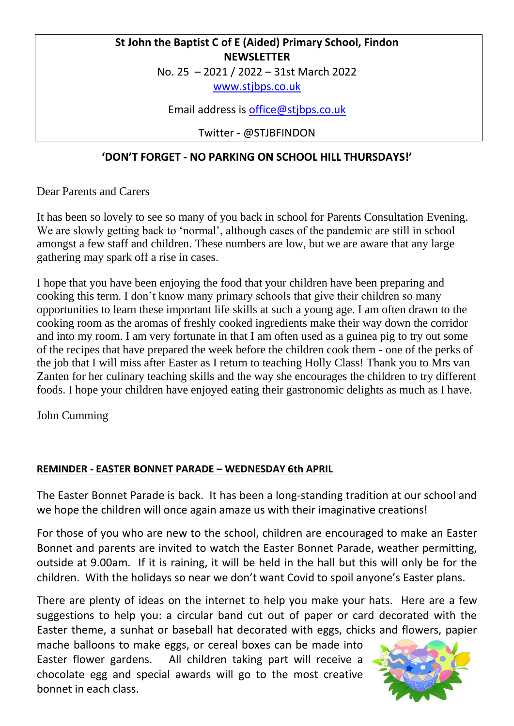## **St John the Baptist C of E (Aided) Primary School, Findon NEWSLETTER**

No. 25 – 2021 / 2022 – 31st March 2022

[www.stjbps.co.uk](http://www.stjbps.co.uk/)

Email address is [office@stjbps.co.uk](mailto:office@stjbps.co.uk)

Twitter - @STJBFINDON

## **'DON'T FORGET - NO PARKING ON SCHOOL HILL THURSDAYS!'**

Dear Parents and Carers

It has been so lovely to see so many of you back in school for Parents Consultation Evening. We are slowly getting back to 'normal', although cases of the pandemic are still in school amongst a few staff and children. These numbers are low, but we are aware that any large gathering may spark off a rise in cases.

I hope that you have been enjoying the food that your children have been preparing and cooking this term. I don't know many primary schools that give their children so many opportunities to learn these important life skills at such a young age. I am often drawn to the cooking room as the aromas of freshly cooked ingredients make their way down the corridor and into my room. I am very fortunate in that I am often used as a guinea pig to try out some of the recipes that have prepared the week before the children cook them - one of the perks of the job that I will miss after Easter as I return to teaching Holly Class! Thank you to Mrs van Zanten for her culinary teaching skills and the way she encourages the children to try different foods. I hope your children have enjoyed eating their gastronomic delights as much as I have.

John Cumming

#### **REMINDER - EASTER BONNET PARADE – WEDNESDAY 6th APRIL**

The Easter Bonnet Parade is back. It has been a long-standing tradition at our school and we hope the children will once again amaze us with their imaginative creations!

For those of you who are new to the school, children are encouraged to make an Easter Bonnet and parents are invited to watch the Easter Bonnet Parade, weather permitting, outside at 9.00am. If it is raining, it will be held in the hall but this will only be for the children. With the holidays so near we don't want Covid to spoil anyone's Easter plans.

There are plenty of ideas on the internet to help you make your hats. Here are a few suggestions to help you: a circular band cut out of paper or card decorated with the Easter theme, a sunhat or baseball hat decorated with eggs, chicks and flowers, papier

mache balloons to make eggs, or cereal boxes can be made into Easter flower gardens. All children taking part will receive a chocolate egg and special awards will go to the most creative bonnet in each class.